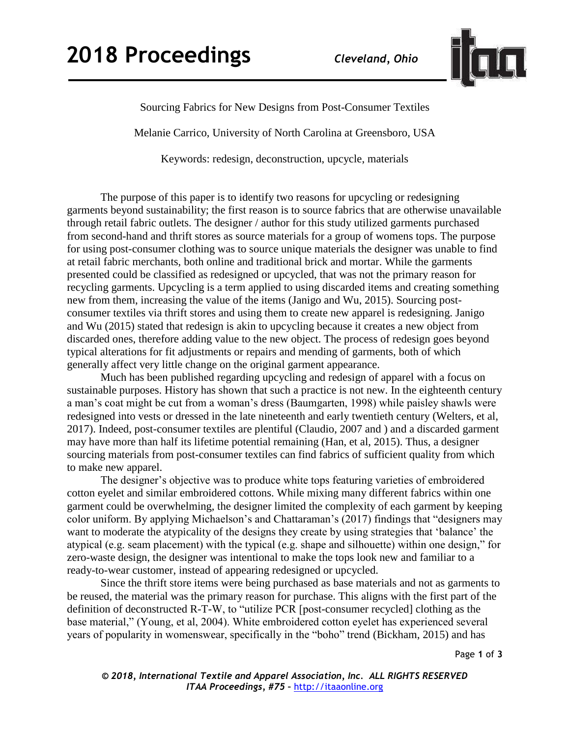

Sourcing Fabrics for New Designs from Post-Consumer Textiles

Melanie Carrico, University of North Carolina at Greensboro, USA

Keywords: redesign, deconstruction, upcycle, materials

The purpose of this paper is to identify two reasons for upcycling or redesigning garments beyond sustainability; the first reason is to source fabrics that are otherwise unavailable through retail fabric outlets. The designer / author for this study utilized garments purchased from second-hand and thrift stores as source materials for a group of womens tops. The purpose for using post-consumer clothing was to source unique materials the designer was unable to find at retail fabric merchants, both online and traditional brick and mortar. While the garments presented could be classified as redesigned or upcycled, that was not the primary reason for recycling garments. Upcycling is a term applied to using discarded items and creating something new from them, increasing the value of the items (Janigo and Wu, 2015). Sourcing postconsumer textiles via thrift stores and using them to create new apparel is redesigning. Janigo and Wu (2015) stated that redesign is akin to upcycling because it creates a new object from discarded ones, therefore adding value to the new object. The process of redesign goes beyond typical alterations for fit adjustments or repairs and mending of garments, both of which generally affect very little change on the original garment appearance.

Much has been published regarding upcycling and redesign of apparel with a focus on sustainable purposes. History has shown that such a practice is not new. In the eighteenth century a man's coat might be cut from a woman's dress (Baumgarten, 1998) while paisley shawls were redesigned into vests or dressed in the late nineteenth and early twentieth century (Welters, et al, 2017). Indeed, post-consumer textiles are plentiful (Claudio, 2007 and ) and a discarded garment may have more than half its lifetime potential remaining (Han, et al, 2015). Thus, a designer sourcing materials from post-consumer textiles can find fabrics of sufficient quality from which to make new apparel.

The designer's objective was to produce white tops featuring varieties of embroidered cotton eyelet and similar embroidered cottons. While mixing many different fabrics within one garment could be overwhelming, the designer limited the complexity of each garment by keeping color uniform. By applying Michaelson's and Chattaraman's (2017) findings that "designers may want to moderate the atypicality of the designs they create by using strategies that 'balance' the atypical (e.g. seam placement) with the typical (e.g. shape and silhouette) within one design," for zero-waste design, the designer was intentional to make the tops look new and familiar to a ready-to-wear customer, instead of appearing redesigned or upcycled.

Since the thrift store items were being purchased as base materials and not as garments to be reused, the material was the primary reason for purchase. This aligns with the first part of the definition of deconstructed R-T-W, to "utilize PCR [post-consumer recycled] clothing as the base material," (Young, et al, 2004). White embroidered cotton eyelet has experienced several years of popularity in womenswear, specifically in the "boho" trend (Bickham, 2015) and has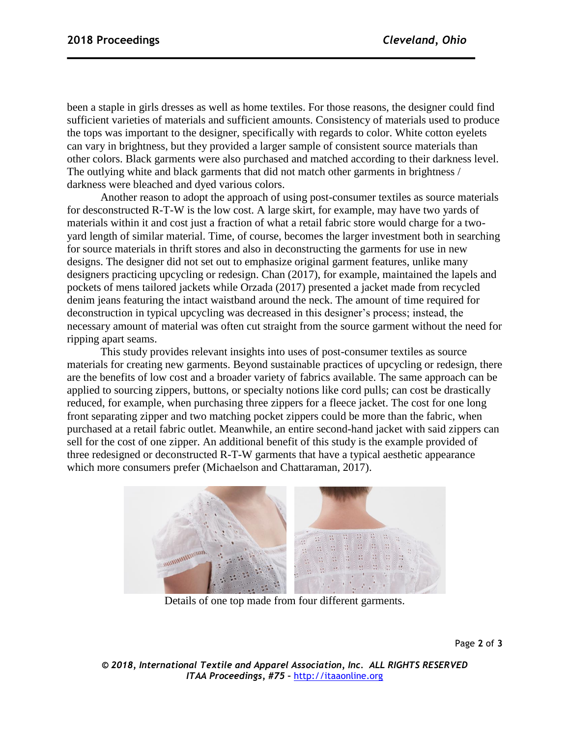been a staple in girls dresses as well as home textiles. For those reasons, the designer could find sufficient varieties of materials and sufficient amounts. Consistency of materials used to produce the tops was important to the designer, specifically with regards to color. White cotton eyelets can vary in brightness, but they provided a larger sample of consistent source materials than other colors. Black garments were also purchased and matched according to their darkness level. The outlying white and black garments that did not match other garments in brightness / darkness were bleached and dyed various colors.

Another reason to adopt the approach of using post-consumer textiles as source materials for desconstructed R-T-W is the low cost. A large skirt, for example, may have two yards of materials within it and cost just a fraction of what a retail fabric store would charge for a twoyard length of similar material. Time, of course, becomes the larger investment both in searching for source materials in thrift stores and also in deconstructing the garments for use in new designs. The designer did not set out to emphasize original garment features, unlike many designers practicing upcycling or redesign. Chan (2017), for example, maintained the lapels and pockets of mens tailored jackets while Orzada (2017) presented a jacket made from recycled denim jeans featuring the intact waistband around the neck. The amount of time required for deconstruction in typical upcycling was decreased in this designer's process; instead, the necessary amount of material was often cut straight from the source garment without the need for ripping apart seams.

This study provides relevant insights into uses of post-consumer textiles as source materials for creating new garments. Beyond sustainable practices of upcycling or redesign, there are the benefits of low cost and a broader variety of fabrics available. The same approach can be applied to sourcing zippers, buttons, or specialty notions like cord pulls; can cost be drastically reduced, for example, when purchasing three zippers for a fleece jacket. The cost for one long front separating zipper and two matching pocket zippers could be more than the fabric, when purchased at a retail fabric outlet. Meanwhile, an entire second-hand jacket with said zippers can sell for the cost of one zipper. An additional benefit of this study is the example provided of three redesigned or deconstructed R-T-W garments that have a typical aesthetic appearance which more consumers prefer (Michaelson and Chattaraman, 2017).



Details of one top made from four different garments.

Page **2** of **3**

*© 2018, International Textile and Apparel Association, Inc. ALL RIGHTS RESERVED ITAA Proceedings, #75 –* [http://itaaonline.org](http://itaaonline.org/)